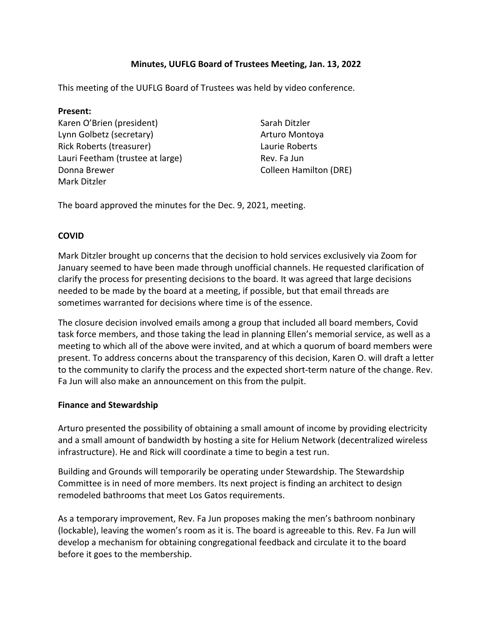# **Minutes, UUFLG Board of Trustees Meeting, Jan. 13, 2022**

This meeting of the UUFLG Board of Trustees was held by video conference.

### **Present:**

Karen O'Brien (president) Lynn Golbetz (secretary) Rick Roberts (treasurer) Lauri Feetham (trustee at large) Donna Brewer Mark Ditzler

Sarah Ditzler Arturo Montoya Laurie Roberts Rev. Fa Jun Colleen Hamilton (DRE)

The board approved the minutes for the Dec. 9, 2021, meeting.

### **COVID**

Mark Ditzler brought up concerns that the decision to hold services exclusively via Zoom for January seemed to have been made through unofficial channels. He requested clarification of clarify the process for presenting decisions to the board. It was agreed that large decisions needed to be made by the board at a meeting, if possible, but that email threads are sometimes warranted for decisions where time is of the essence.

The closure decision involved emails among a group that included all board members, Covid task force members, and those taking the lead in planning Ellen's memorial service, as well as a meeting to which all of the above were invited, and at which a quorum of board members were present. To address concerns about the transparency of this decision, Karen O. will draft a letter to the community to clarify the process and the expected short-term nature of the change. Rev. Fa Jun will also make an announcement on this from the pulpit.

### **Finance and Stewardship**

Arturo presented the possibility of obtaining a small amount of income by providing electricity and a small amount of bandwidth by hosting a site for Helium Network (decentralized wireless infrastructure). He and Rick will coordinate a time to begin a test run.

Building and Grounds will temporarily be operating under Stewardship. The Stewardship Committee is in need of more members. Its next project is finding an architect to design remodeled bathrooms that meet Los Gatos requirements.

As a temporary improvement, Rev. Fa Jun proposes making the men's bathroom nonbinary (lockable), leaving the women's room as it is. The board is agreeable to this. Rev. Fa Jun will develop a mechanism for obtaining congregational feedback and circulate it to the board before it goes to the membership.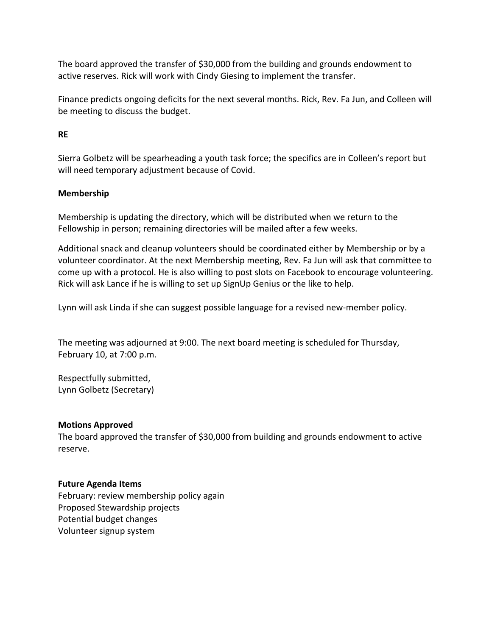The board approved the transfer of \$30,000 from the building and grounds endowment to active reserves. Rick will work with Cindy Giesing to implement the transfer.

Finance predicts ongoing deficits for the next several months. Rick, Rev. Fa Jun, and Colleen will be meeting to discuss the budget.

# **RE**

Sierra Golbetz will be spearheading a youth task force; the specifics are in Colleen's report but will need temporary adjustment because of Covid.

## **Membership**

Membership is updating the directory, which will be distributed when we return to the Fellowship in person; remaining directories will be mailed after a few weeks.

Additional snack and cleanup volunteers should be coordinated either by Membership or by a volunteer coordinator. At the next Membership meeting, Rev. Fa Jun will ask that committee to come up with a protocol. He is also willing to post slots on Facebook to encourage volunteering. Rick will ask Lance if he is willing to set up SignUp Genius or the like to help.

Lynn will ask Linda if she can suggest possible language for a revised new-member policy.

The meeting was adjourned at 9:00. The next board meeting is scheduled for Thursday, February 10, at 7:00 p.m.

Respectfully submitted, Lynn Golbetz (Secretary)

### **Motions Approved**

The board approved the transfer of \$30,000 from building and grounds endowment to active reserve.

### **Future Agenda Items**

February: review membership policy again Proposed Stewardship projects Potential budget changes Volunteer signup system